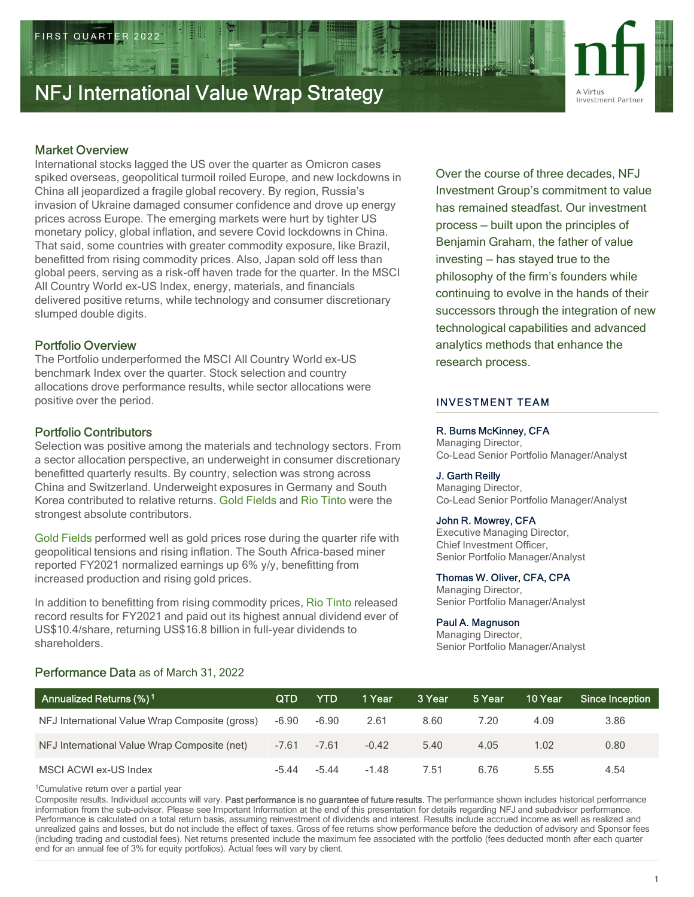

## Market Overview

International stocks lagged the US over the quarter as Omicron cases spiked overseas, geopolitical turmoil roiled Europe, and new lockdowns in China all jeopardized a fragile global recovery. By region, Russia's invasion of Ukraine damaged consumer confidence and drove up energy prices across Europe. The emerging markets were hurt by tighter US<br>  $\frac{1}{2}$  process – built upon the principles of monetary policy, global inflation, and severe Covid lockdowns in China. That said, some countries with greater commodity exposure, like Brazil, benefitted from rising commodity prices. Also, Japan sold off less than global peers, serving as a risk-off haven trade for the quarter. In the MSCI All Country World ex-US Index, energy, materials, and financials delivered positive returns, while technology and consumer discretionary slumped double digits. **Market Overwear**<br>
Micharactors (sigged the US over the quarter as Omicron cases<br>
sighted overseas, geopolitical turmoil rolled Europe, and new lookdowns in<br>
China all jeepsrdized a fragile global recovery. By region, Russ splied overseas, geopolitical turnion foiled Europe, and new lockdowns in the cutuse of the cutuse of the cutuse of the median strong experiment Group's (china all jeopardized a fragile global recovery. By region, Russia's

## Portfolio Overview

The Portfolio underperformed the MSCI All Country World ex-US benchmark Index over the quarter. Stock selection and country allocations drove performance results, while sector allocations were positive over the period.

## Portfolio Contributors

## Performance Data as of March 31, 2022

Over the course of three decades, NFJ Investment Group's commitment to value has remained steadfast. Our investment process — built upon the factor of the phands of their<br>process — built upon the principles of<br>process — built upon the principles of<br>process — built upon the principles of<br>process — built upon the principles of<br>process — b Benjamin Graham, the father of value **investment Partner**<br>
November 2021<br>
November Partner<br>
Novestment Partner<br>
Investment Group's commitment to value<br>
has remained steadfast. Our investment<br>
process — built upon the principles of<br>
Benjamin Graham, the father philosophy of the firm's founders while continuing to evolve in the hands of their successors through the integration of new technological capabilities and advanced analytics methods that enhance the research process.

## INVESTMENT TEAM

## R. Burns McKinney, CFA

### J. Garth Reilly

### John R. Mowrey, CFA

### Thomas W. Oliver, CFA, CPA

### Paul A. Magnuson

| R. Burns McKinney, CFA<br>Portfolio Contributors<br>Managing Director,<br>Selection was positive among the materials and technology sectors. From<br>Co-Lead Senior Portfolio Manager/Analyst<br>a sector allocation perspective, an underweight in consumer discretionary<br>benefitted quarterly results. By country, selection was strong across<br>J. Garth Reilly<br>China and Switzerland. Underweight exposures in Germany and South<br>Managing Director,<br>Korea contributed to relative returns. Gold Fields and Rio Tinto were the<br>Co-Lead Senior Portfolio Manager/Analyst<br>strongest absolute contributors.<br>John R. Mowrey, CFA<br><b>Executive Managing Director,</b><br>Gold Fields performed well as gold prices rose during the quarter rife with<br>Chief Investment Officer,<br>geopolitical tensions and rising inflation. The South Africa-based miner<br>Senior Portfolio Manager/Analyst<br>reported FY2021 normalized earnings up 6% y/y, benefitting from<br>Thomas W. Oliver, CFA, CPA<br>increased production and rising gold prices.<br>Managing Director,<br>Senior Portfolio Manager/Analyst<br>In addition to benefitting from rising commodity prices, Rio Tinto released<br>record results for FY2021 and paid out its highest annual dividend ever of<br>Paul A. Magnuson<br>US\$10.4/share, returning US\$16.8 billion in full-year dividends to<br>Managing Director,<br>shareholders.<br>Senior Portfolio Manager/Analyst<br>Performance Data as of March 31, 2022<br>Annualized Returns (%) <sup>1</sup><br><b>YTD</b><br>1 Year<br>3 Year<br>10 Year<br><b>QTD</b><br>5 Year<br>Since Inception<br>$-6.90$<br>$-6.90$<br>2.61<br>8.60<br>7.20<br>4.09<br>3.86<br>NFJ International Value Wrap Composite (gross)<br>4.05<br>1.02<br>0.80<br>NFJ International Value Wrap Composite (net)<br>$-7.61$<br>$-7.61$<br>$-0.42$<br>5.40 |
|----------------------------------------------------------------------------------------------------------------------------------------------------------------------------------------------------------------------------------------------------------------------------------------------------------------------------------------------------------------------------------------------------------------------------------------------------------------------------------------------------------------------------------------------------------------------------------------------------------------------------------------------------------------------------------------------------------------------------------------------------------------------------------------------------------------------------------------------------------------------------------------------------------------------------------------------------------------------------------------------------------------------------------------------------------------------------------------------------------------------------------------------------------------------------------------------------------------------------------------------------------------------------------------------------------------------------------------------------------------------------------------------------------------------------------------------------------------------------------------------------------------------------------------------------------------------------------------------------------------------------------------------------------------------------------------------------------------------------------------------------------------------------------------------------------------------------------------------------------------------------------|
|                                                                                                                                                                                                                                                                                                                                                                                                                                                                                                                                                                                                                                                                                                                                                                                                                                                                                                                                                                                                                                                                                                                                                                                                                                                                                                                                                                                                                                                                                                                                                                                                                                                                                                                                                                                                                                                                                  |
|                                                                                                                                                                                                                                                                                                                                                                                                                                                                                                                                                                                                                                                                                                                                                                                                                                                                                                                                                                                                                                                                                                                                                                                                                                                                                                                                                                                                                                                                                                                                                                                                                                                                                                                                                                                                                                                                                  |
|                                                                                                                                                                                                                                                                                                                                                                                                                                                                                                                                                                                                                                                                                                                                                                                                                                                                                                                                                                                                                                                                                                                                                                                                                                                                                                                                                                                                                                                                                                                                                                                                                                                                                                                                                                                                                                                                                  |
|                                                                                                                                                                                                                                                                                                                                                                                                                                                                                                                                                                                                                                                                                                                                                                                                                                                                                                                                                                                                                                                                                                                                                                                                                                                                                                                                                                                                                                                                                                                                                                                                                                                                                                                                                                                                                                                                                  |
|                                                                                                                                                                                                                                                                                                                                                                                                                                                                                                                                                                                                                                                                                                                                                                                                                                                                                                                                                                                                                                                                                                                                                                                                                                                                                                                                                                                                                                                                                                                                                                                                                                                                                                                                                                                                                                                                                  |
|                                                                                                                                                                                                                                                                                                                                                                                                                                                                                                                                                                                                                                                                                                                                                                                                                                                                                                                                                                                                                                                                                                                                                                                                                                                                                                                                                                                                                                                                                                                                                                                                                                                                                                                                                                                                                                                                                  |
|                                                                                                                                                                                                                                                                                                                                                                                                                                                                                                                                                                                                                                                                                                                                                                                                                                                                                                                                                                                                                                                                                                                                                                                                                                                                                                                                                                                                                                                                                                                                                                                                                                                                                                                                                                                                                                                                                  |
|                                                                                                                                                                                                                                                                                                                                                                                                                                                                                                                                                                                                                                                                                                                                                                                                                                                                                                                                                                                                                                                                                                                                                                                                                                                                                                                                                                                                                                                                                                                                                                                                                                                                                                                                                                                                                                                                                  |
|                                                                                                                                                                                                                                                                                                                                                                                                                                                                                                                                                                                                                                                                                                                                                                                                                                                                                                                                                                                                                                                                                                                                                                                                                                                                                                                                                                                                                                                                                                                                                                                                                                                                                                                                                                                                                                                                                  |
| $-5.44$<br>MSCI ACWI ex-US Index<br>$-5.44$<br>$-1.48$<br>7.51<br>6.76<br>5.55<br>4.54                                                                                                                                                                                                                                                                                                                                                                                                                                                                                                                                                                                                                                                                                                                                                                                                                                                                                                                                                                                                                                                                                                                                                                                                                                                                                                                                                                                                                                                                                                                                                                                                                                                                                                                                                                                           |
| <sup>1</sup> Cumulative return over a partial year<br>Composite results. Individual accounts will vary. Past performance is no guarantee of future results. The performance shown includes historical performance<br>information from the sub-advisor. Please see Important Information at the end of this presentation for details regarding NFJ and subadvisor performance.<br>Performance is calculated on a total return basis, assuming reinvestment of dividends and interest. Results include accrued income as well as realized and<br>unrealized gains and losses, but do not include the effect of taxes. Gross of fee returns show performance before the deduction of advisory and Sponsor fees<br>(including trading and custodial fees). Net returns presented include the maximum fee associated with the portfolio (fees deducted month after each quarter<br>end for an annual fee of 3% for equity portfolios). Actual fees will vary by client.                                                                                                                                                                                                                                                                                                                                                                                                                                                                                                                                                                                                                                                                                                                                                                                                                                                                                                               |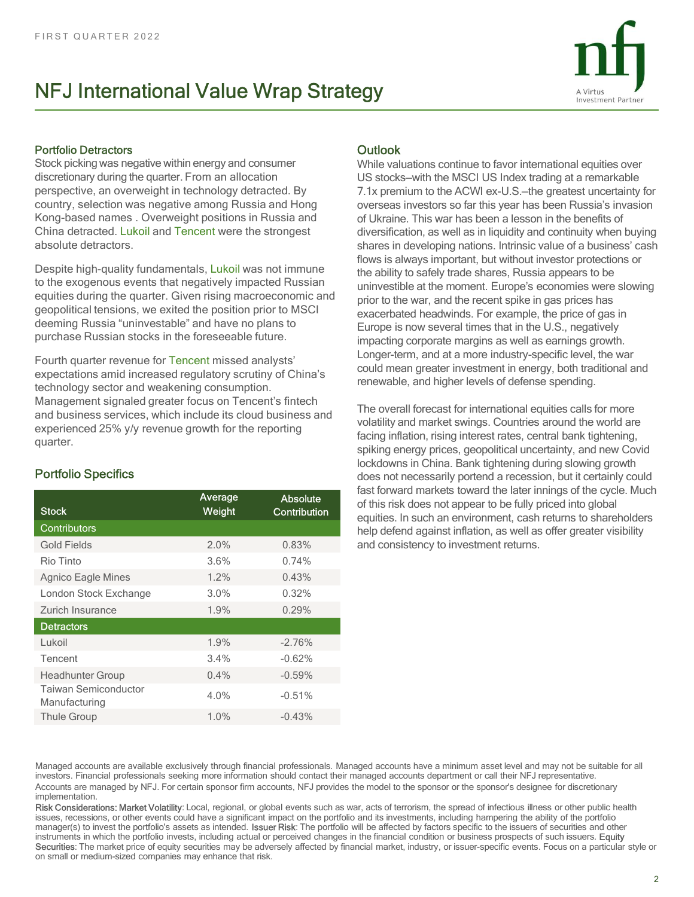

## Portfolio Detractors

Stock picking was negative within energy and consumer FIRST QUARTER 2022<br> **NFJ International Value Wrap Strategy**<br> **Portfolio Detractors**<br>
Stock picking was negative within energy and consumer<br>
discretionary during the quarter. From an allocation<br>
perspective, an overweight i country, selection was negative among Russia and Hong Kong-based names . Overweight positions in Russia and China detracted. Lukoil and Tencent were the strongest absolute detractors.

| ansolare deri deroi si<br>Despite high-quality fundamentals, Lukoil was not immune<br>to the exogenous events that negatively impacted Russian<br>equities during the quarter. Given rising macroeconomic and<br>geopolitical tensions, we exited the position prior to MSCI<br>deeming Russia "uninvestable" and have no plans to<br>purchase Russian stocks in the foreseeable future.<br>Fourth quarter revenue for Tencent missed analysts'<br>expectations amid increased regulatory scrutiny of China's<br>technology sector and weakening consumption.<br>Management signaled greater focus on Tencent's fintech<br>and business services, which include its cloud business and<br>experienced 25% y/y revenue growth for the reporting<br>quarter. |                   |                          | <u>STIGLES IIT GEVEIOPING HAILUITS. IHUIHSIC VAILLE ULA DUSINESSI CASH</u><br>flows is always important, but without investor protections or<br>the ability to safely trade shares, Russia appears to be<br>uninvestible at the moment. Europe's economies were slowing<br>prior to the war, and the recent spike in gas prices has<br>exacerbated headwinds. For example, the price of gas in<br>Europe is now several times that in the U.S., negatively<br>impacting corporate margins as well as earnings growth.<br>Longer-term, and at a more industry-specific level, the war<br>could mean greater investment in energy, both traditional and<br>renewable, and higher levels of defense spending.<br>The overall forecast for international equities calls for more<br>volatility and market swings. Countries around the world are<br>facing inflation, rising interest rates, central bank tightening,<br>spiking energy prices, geopolitical uncertainty, and new Covid                                                                                                                                                                                                                                                                                                                        |
|------------------------------------------------------------------------------------------------------------------------------------------------------------------------------------------------------------------------------------------------------------------------------------------------------------------------------------------------------------------------------------------------------------------------------------------------------------------------------------------------------------------------------------------------------------------------------------------------------------------------------------------------------------------------------------------------------------------------------------------------------------|-------------------|--------------------------|------------------------------------------------------------------------------------------------------------------------------------------------------------------------------------------------------------------------------------------------------------------------------------------------------------------------------------------------------------------------------------------------------------------------------------------------------------------------------------------------------------------------------------------------------------------------------------------------------------------------------------------------------------------------------------------------------------------------------------------------------------------------------------------------------------------------------------------------------------------------------------------------------------------------------------------------------------------------------------------------------------------------------------------------------------------------------------------------------------------------------------------------------------------------------------------------------------------------------------------------------------------------------------------------------------|
| <b>Portfolio Specifics</b>                                                                                                                                                                                                                                                                                                                                                                                                                                                                                                                                                                                                                                                                                                                                 |                   |                          | lockdowns in China. Bank tightening during slowing growth<br>does not necessarily portend a recession, but it certainly could                                                                                                                                                                                                                                                                                                                                                                                                                                                                                                                                                                                                                                                                                                                                                                                                                                                                                                                                                                                                                                                                                                                                                                              |
| <b>Stock</b>                                                                                                                                                                                                                                                                                                                                                                                                                                                                                                                                                                                                                                                                                                                                               | Average<br>Weight | Absolute<br>Contribution | fast forward markets toward the later innings of the cycle. Much<br>of this risk does not appear to be fully priced into global<br>equities. In such an environment, cash returns to shareholders                                                                                                                                                                                                                                                                                                                                                                                                                                                                                                                                                                                                                                                                                                                                                                                                                                                                                                                                                                                                                                                                                                          |
| Contributors                                                                                                                                                                                                                                                                                                                                                                                                                                                                                                                                                                                                                                                                                                                                               |                   |                          | help defend against inflation, as well as offer greater visibility                                                                                                                                                                                                                                                                                                                                                                                                                                                                                                                                                                                                                                                                                                                                                                                                                                                                                                                                                                                                                                                                                                                                                                                                                                         |
| <b>Gold Fields</b>                                                                                                                                                                                                                                                                                                                                                                                                                                                                                                                                                                                                                                                                                                                                         | 2.0%              | 0.83%                    | and consistency to investment returns.                                                                                                                                                                                                                                                                                                                                                                                                                                                                                                                                                                                                                                                                                                                                                                                                                                                                                                                                                                                                                                                                                                                                                                                                                                                                     |
| Rio Tinto                                                                                                                                                                                                                                                                                                                                                                                                                                                                                                                                                                                                                                                                                                                                                  | 3.6%              | 0.74%                    |                                                                                                                                                                                                                                                                                                                                                                                                                                                                                                                                                                                                                                                                                                                                                                                                                                                                                                                                                                                                                                                                                                                                                                                                                                                                                                            |
| <b>Agnico Eagle Mines</b>                                                                                                                                                                                                                                                                                                                                                                                                                                                                                                                                                                                                                                                                                                                                  | 1.2%              | 0.43%                    |                                                                                                                                                                                                                                                                                                                                                                                                                                                                                                                                                                                                                                                                                                                                                                                                                                                                                                                                                                                                                                                                                                                                                                                                                                                                                                            |
| London Stock Exchange                                                                                                                                                                                                                                                                                                                                                                                                                                                                                                                                                                                                                                                                                                                                      | 3.0%              | 0.32%                    |                                                                                                                                                                                                                                                                                                                                                                                                                                                                                                                                                                                                                                                                                                                                                                                                                                                                                                                                                                                                                                                                                                                                                                                                                                                                                                            |
| Zurich Insurance                                                                                                                                                                                                                                                                                                                                                                                                                                                                                                                                                                                                                                                                                                                                           | 1.9%              | 0.29%                    |                                                                                                                                                                                                                                                                                                                                                                                                                                                                                                                                                                                                                                                                                                                                                                                                                                                                                                                                                                                                                                                                                                                                                                                                                                                                                                            |
| <b>Detractors</b>                                                                                                                                                                                                                                                                                                                                                                                                                                                                                                                                                                                                                                                                                                                                          |                   |                          |                                                                                                                                                                                                                                                                                                                                                                                                                                                                                                                                                                                                                                                                                                                                                                                                                                                                                                                                                                                                                                                                                                                                                                                                                                                                                                            |
| Lukoil                                                                                                                                                                                                                                                                                                                                                                                                                                                                                                                                                                                                                                                                                                                                                     | 1.9%              | $-2.76%$                 |                                                                                                                                                                                                                                                                                                                                                                                                                                                                                                                                                                                                                                                                                                                                                                                                                                                                                                                                                                                                                                                                                                                                                                                                                                                                                                            |
| Tencent                                                                                                                                                                                                                                                                                                                                                                                                                                                                                                                                                                                                                                                                                                                                                    | 3.4%              | $-0.62%$                 |                                                                                                                                                                                                                                                                                                                                                                                                                                                                                                                                                                                                                                                                                                                                                                                                                                                                                                                                                                                                                                                                                                                                                                                                                                                                                                            |
| Headhunter Group                                                                                                                                                                                                                                                                                                                                                                                                                                                                                                                                                                                                                                                                                                                                           | 0.4%              | $-0.59%$                 |                                                                                                                                                                                                                                                                                                                                                                                                                                                                                                                                                                                                                                                                                                                                                                                                                                                                                                                                                                                                                                                                                                                                                                                                                                                                                                            |
| <b>Taiwan Semiconductor</b><br>Manufacturing                                                                                                                                                                                                                                                                                                                                                                                                                                                                                                                                                                                                                                                                                                               | 4.0%              | $-0.51%$                 |                                                                                                                                                                                                                                                                                                                                                                                                                                                                                                                                                                                                                                                                                                                                                                                                                                                                                                                                                                                                                                                                                                                                                                                                                                                                                                            |
| Thule Group                                                                                                                                                                                                                                                                                                                                                                                                                                                                                                                                                                                                                                                                                                                                                | 1.0%              | $-0.43%$                 |                                                                                                                                                                                                                                                                                                                                                                                                                                                                                                                                                                                                                                                                                                                                                                                                                                                                                                                                                                                                                                                                                                                                                                                                                                                                                                            |
| implementation.<br>on small or medium-sized companies may enhance that risk.                                                                                                                                                                                                                                                                                                                                                                                                                                                                                                                                                                                                                                                                               |                   |                          | Managed accounts are available exclusively through financial professionals. Managed accounts have a minimum asset level and may not be suitable for all<br>investors. Financial professionals seeking more information should contact their managed accounts department or call their NFJ representative.<br>Accounts are managed by NFJ. For certain sponsor firm accounts, NFJ provides the model to the sponsor or the sponsor's designee for discretionary<br>Risk Considerations: Market Volatility: Local, regional, or global events such as war, acts of terrorism, the spread of infectious illness or other public health<br>issues, recessions, or other events could have a significant impact on the portfolio and its investments, including hampering the ability of the portfolio<br>manager(s) to invest the portfolio's assets as intended. Issuer Risk: The portfolio will be affected by factors specific to the issuers of securities and other<br>instruments in which the portfolio invests, including actual or perceived changes in the financial condition or business prospects of such issuers. Equity<br>Securities: The market price of equity securities may be adversely affected by financial market, industry, or issuer-specific events. Focus on a particular style or |
|                                                                                                                                                                                                                                                                                                                                                                                                                                                                                                                                                                                                                                                                                                                                                            |                   |                          | $\overline{2}$                                                                                                                                                                                                                                                                                                                                                                                                                                                                                                                                                                                                                                                                                                                                                                                                                                                                                                                                                                                                                                                                                                                                                                                                                                                                                             |

## Portfolio Specifics

## **Outlook**

FIRST QUARTER 2022<br> **NFJ International Value Wrap Strategy**<br>
Portfolio Detractors<br>
Stock picking was negative within energy and consumer<br>
Stock picking was negative within energy and consumer<br>
Stock picking at a remarkable While valuations continue to favor international equities over US stocks—with the MSCI US Index trading at a remarkable 7.1x premium to the ACWI ex-U.S.—the greatest uncertainty for overseas investors so far this year has been Russia's invasion of Ukraine. This war has been a lesson in the benefits of diversification, as well as in liquidity and continuity when buying shares in developing nations. Intrinsic value of a business' cash flows is always important, but without investor protections or the ability to safely trade shares, Russia appears to be **Example and the moment of the moment of the moment of the moment of the moment of the MSCI US Index trading at a remarkable sover US stocks—with the MSCI US Index trading at a remarkable over US stocks—with the ACWI ex-U.** prior to the war, and the recent spike in gas prices has exacerbated headwinds. For example, the price of gas in Europe is now several times that in the U.S., negatively impacting corporate margins as well as earnings growth. Longer-term, and at a more industry-specific level, the war could mean greater investment in energy, both traditional and renewable, and higher levels of defense spending.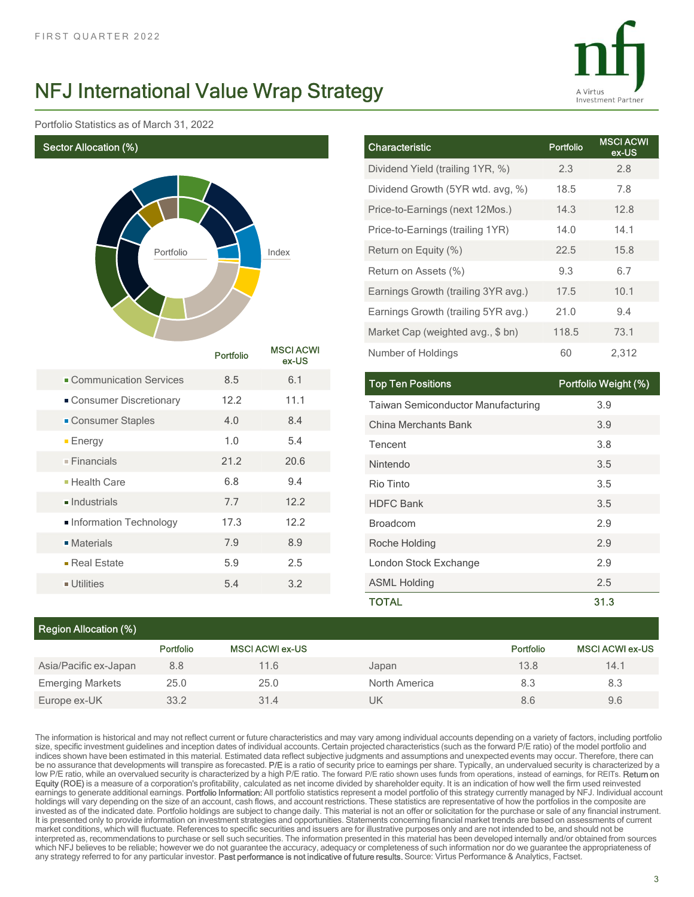

Portfolio Statistics as of March 31, 2022



|          | lue Wrap Strategy         |                                     |           | A Virtus<br><b>Investment Partner</b> |
|----------|---------------------------|-------------------------------------|-----------|---------------------------------------|
|          |                           |                                     |           |                                       |
|          |                           | Characteristic                      | Portfolio | <b>MSCI ACWI</b><br>ex-US             |
|          |                           | Dividend Yield (trailing 1YR, %)    | 2.3       | 2.8                                   |
|          |                           | Dividend Growth (5YR wtd. avg, %)   | 18.5      | 7.8                                   |
|          |                           | Price-to-Earnings (next 12Mos.)     | 14.3      | 12.8                                  |
|          |                           | Price-to-Earnings (trailing 1YR)    | 14.0      | 14.1                                  |
|          | Index                     | Return on Equity (%)                | 22.5      | 15.8                                  |
|          |                           | Return on Assets (%)                | 9.3       | 6.7                                   |
|          |                           | Earnings Growth (trailing 3YR avg.) | 17.5      | 10.1                                  |
|          |                           | Earnings Growth (trailing 5YR avg.) | 21.0      | 9.4                                   |
|          |                           | Market Cap (weighted avg., \$ bn)   | 118.5     | 73.1                                  |
| ortfolio | <b>MSCI ACWI</b><br>ex-US | Number of Holdings                  | 60        | 2,312                                 |
| $8.5\,$  | $6.1$                     | <b>Top Ten Positions</b>            |           | Portfolio Weight (%)                  |
| 12.2     | 11.1                      | Taiwan Semiconductor Manufacturing  |           | 3.9                                   |
| $4.0\,$  | $8.4\,$                   | China Merchants Bank                |           | 3.9                                   |
| $1.0$    | $5.4\,$                   | Tencent                             |           | 3.8                                   |
| 21.2     | 20.6                      | Nintendo                            |           | 3.5                                   |
| $6.8\,$  | 9.4                       | Rio Tinto                           |           | 3.5                                   |
| $7.7\,$  | 12.2                      | <b>HDFC Bank</b>                    |           | $3.5\,$                               |
| 17.3     | 12.2                      | Broadcom                            |           | 2.9                                   |
| $7.9$    | $8.9\,$                   | Roche Holding                       |           | 2.9                                   |
|          | $2.5\,$                   | London Stock Exchange               |           | $2.9\,$                               |

|                              |           |           |                           | Price-to-Earnings (trailing 1YR)          | 14.0      | 14.1                   |
|------------------------------|-----------|-----------|---------------------------|-------------------------------------------|-----------|------------------------|
|                              | Portfolio |           | Index                     | Return on Equity (%)                      | 22.5      | 15.8                   |
|                              |           |           |                           | Return on Assets (%)                      | 9.3       | 6.7                    |
|                              |           |           |                           | Earnings Growth (trailing 3YR avg.)       | 17.5      | 10.1                   |
|                              |           |           |                           | Earnings Growth (trailing 5YR avg.)       | 21.0      | 9.4                    |
|                              |           |           |                           | Market Cap (weighted avg., \$ bn)         | 118.5     | 73.1                   |
|                              |           | Portfolio | <b>MSCI ACWI</b><br>ex-US | Number of Holdings                        | 60        | 2,312                  |
| Communication Services       |           | 8.5       | 6.1                       | <b>Top Ten Positions</b>                  |           | Portfolio Weight (%)   |
| Consumer Discretionary       |           | 12.2      | 11.1                      | <b>Taiwan Semiconductor Manufacturing</b> |           | 3.9                    |
| • Consumer Staples           |           | 4.0       | 8.4                       | China Merchants Bank                      |           | 3.9                    |
| $E$ nergy                    |           | $1.0$     | 5.4                       | Tencent                                   |           | 3.8                    |
| $\blacksquare$ Financials    |           | 21.2      | 20.6                      | Nintendo                                  |           | 3.5                    |
| - Health Care                |           | 6.8       | 9.4                       | Rio Tinto                                 |           | 3.5                    |
| $\blacksquare$ Industrials   |           | 7.7       | 12.2                      | <b>HDFC Bank</b>                          |           | 3.5                    |
| Information Technology       |           | 17.3      | 12.2                      | Broadcom                                  |           | 2.9                    |
| <b>Materials</b>             |           | 7.9       | 8.9                       | Roche Holding                             |           | 2.9                    |
| Real Estate                  |           | 5.9       | 2.5                       | London Stock Exchange                     |           | 2.9                    |
| $\blacksquare$ Utilities     |           | 5.4       | 3.2                       | <b>ASML Holding</b>                       |           | 2.5                    |
|                              |           |           |                           | <b>TOTAL</b>                              |           | 31.3                   |
| <b>Region Allocation (%)</b> |           |           |                           |                                           |           |                        |
|                              | Portfolio |           | <b>MSCI ACWI ex-US</b>    |                                           | Portfolio | <b>MSCI ACWI ex-US</b> |
| Asia/Pacific ex-Japan        | 8.8       |           | 11.6                      | Japan                                     | 13.8      | 14.1                   |
| <b>Emerging Markets</b>      | 25.0      |           | 25.0                      | North America                             | 8.3       | 8.3                    |
| Europe ex-UK                 | 33.2      |           | 31.4                      | <b>UK</b>                                 | 8.6       | 9.6                    |

## Region Allocation (%)

|                         | Portfolio | <b>MSCI ACWI ex-US</b> |               | Portfolio | <b>MSCI ACWI ex-US</b> |  |  |  |  |  |  |
|-------------------------|-----------|------------------------|---------------|-----------|------------------------|--|--|--|--|--|--|
| Asia/Pacific ex-Japan   | 8.8       | 11.6                   | Japan         | 13.8      | 14.1                   |  |  |  |  |  |  |
| <b>Emerging Markets</b> | 25.0      | 25.0                   | North America | 8.3       | 8.3                    |  |  |  |  |  |  |
| Europe ex-UK            | 33.2      | 31.4                   | UK            | 8.6       | 9.6                    |  |  |  |  |  |  |

The information is historical and may not reflect current or future characteristics and may vary among individual accounts depending on a variety of factors, including portfolio size, specific investment guidelines and inception dates of individual accounts. Certain projected characteristics (such as the forward P/E ratio) of the model portfolio and indices shown have been estimated in this material. Estimated data reflect subjective judgments and assumptions and unexpected events may occur. Therefore, there can be no assurance that developments will transpire as forecasted. P/E is a ratio of security price to earnings per share. Typically, an undervalued security is characterized by a<br>low P/E ratio, while an overvalued security i ontinuo in the control of the control of the control of the control of the control of the control of the control of the control of the control of the control of the control of the control of the control of the control of earnings to generate additional earnings. Portfolio Information: All portfolio statistics represent a model portfolio of this strategy currently managed by NFJ. Individual account holdings will vary depending on the size of an account, cash flows, and account restrictions. These statistics are representative of how the portfolios in the composite are<br>invested as of the indicated date. Portfolio hold information Technology 17.3 12.2 Broadcom<br>
• Neterials 7.9 8.9 Booche Holding<br>
• Perfekties 5.9 2.5 London Sich to change 12.9 ASML Folding<br>
• Utilities 5.4 3.2 ASML Folding<br>
• Utilities 5.4 3.2 ASML Folding<br>
• Consider It is presented only to provide information on investment strategies and opportunities. Statements concerning financial market trends are based on assessments of current Materials Figure 1986 5.9 2.5 London Stock Exchange 2.9 2.9<br>
- Edulities 5.9 2.5 London Stock Exchange 2.9 2.5 2.5 2.6 2.1 Month Stock Exchange 2.9 2.5 2.5 2.6 2.1 Month Andre 2.9 2.9 2.5 2.6 2.9 2.9 2.9 2.9 2.9 2.9 2.9 2 interpreted as a commendation of the internal or sell such securities. The method in the internal has a commendation or sell such securities. The information presented as a comment of the internal has been developed intern **FReal Estate 5.9 2.5 London Stock Exchange 2.9**<br>
• Utilities 5 4 3.2 ASML Holding 2.5 **TOTAL 51.1.**<br> **Region Allocation (%)**<br> **Portfolio MSCIACWI ex-US Portfolio MSCIACWI ex-US Portfolio MSCIACWI ex-US Portfolio MS** which NFJ believes to be reliable; however we do not guarantee the accuracy, adequacy or completeness of such information nor do we guarantee the appropriateness of<br>any strategy referred to for any particular investor. Pas